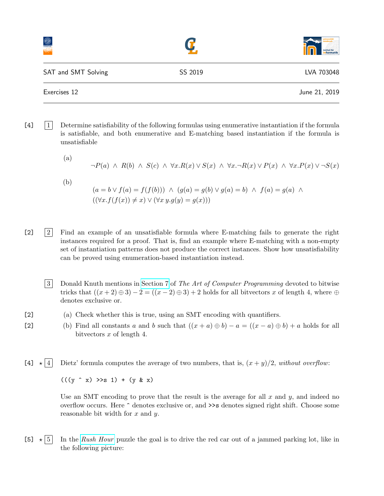|                     |         | institut für<br>informatik |
|---------------------|---------|----------------------------|
| SAT and SMT Solving | SS 2019 | LVA 703048                 |
| Exercises 12        |         | June 21, 2019              |

- [4] 1 Determine satisfiability of the following formulas using enumerative instantiation if the formula is satisfiable, and both enumerative and E-matching based instantiation if the formula is unsatisfiable
	- (a)  $\neg P(a) \land R(b) \land S(c) \land \forall x. R(x) \lor S(x) \land \forall x. \neg R(x) \lor P(x) \land \forall x. P(x) \lor \neg S(x)$ (b)  $(a = b \lor f(a) = f(f(b))) \land (g(a) = g(b) \lor g(a) = b) \land f(a) = g(a) \land$  $((\forall x. f(f(x)) \neq x) \vee (\forall x \ y. g(y) = g(x)))$
- [2] 2 Find an example of an unsatisfiable formula where E-matching fails to generate the right instances required for a proof. That is, find an example where E-matching with a non-empty set of instantiation patterns does not produce the correct instances. Show how unsatisfiability can be proved using enumeration-based instantiation instead.
	- 3 Donald Knuth mentions in [Section 7](http://www.cs.utsa.edu/~wagner/knuth/fasc1a.pdf) of The Art of Computer Programming devoted to bitwise tricks that  $((x+2) \oplus 3) - 2 = ((x-2) \oplus 3) + 2$  holds for all bitvectors x of length 4, where  $\oplus$ denotes exclusive or.
- [2] (a) Check whether this is true, using an SMT encoding with quantifiers.
- [2] (b) Find all constants a and b such that  $((x + a) \oplus b) a = ((x a) \oplus b) + a$  holds for all bitvectors  $x$  of length 4.
- [4]  $\star$  4 Dietz' formula computes the average of two numbers, that is,  $(x + y)/2$ , without overflow:

 $(((y \cap x) >> s 1) + (y \& x))$ 

Use an SMT encoding to prove that the result is the average for all  $x$  and  $y$ , and indeed no overflow occurs. Here ^ denotes exclusive or, and >>s denotes signed right shift. Choose some reasonable bit width for  $x$  and  $y$ .

[5]  $\star$  5 In the [Rush Hour](https://en.wikipedia.org/wiki/Rush_Hour_(puzzle)) puzzle the goal is to drive the red car out of a jammed parking lot, like in the following picture: